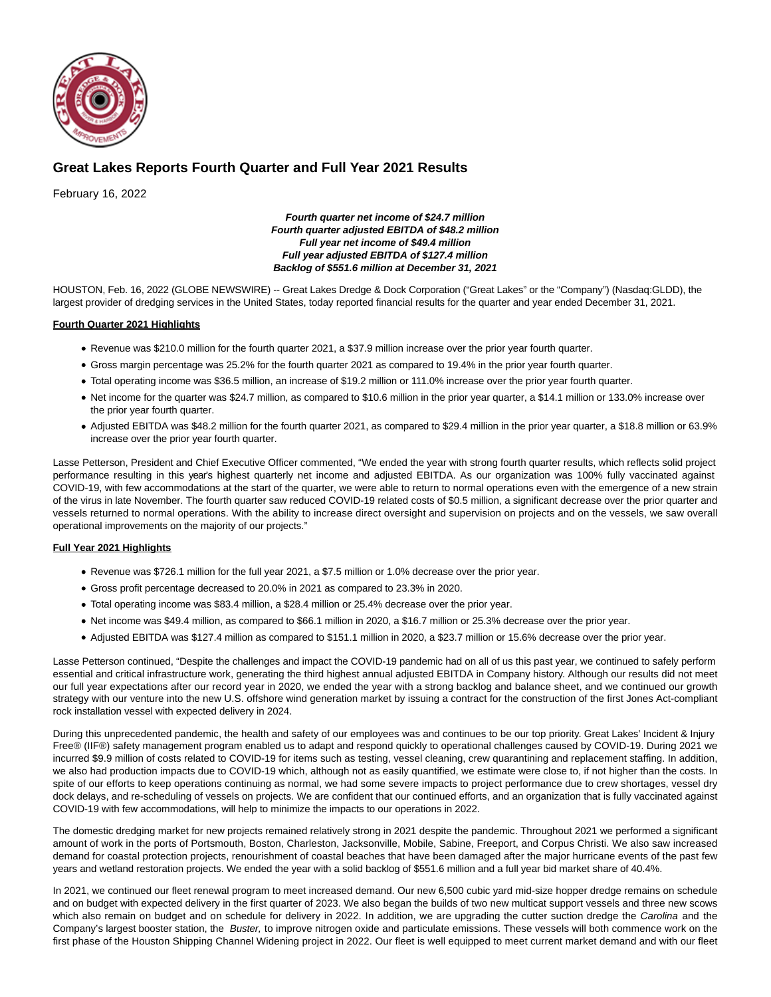

# **Great Lakes Reports Fourth Quarter and Full Year 2021 Results**

February 16, 2022

### **Fourth quarter net income of \$24.7 million Fourth quarter adjusted EBITDA of \$48.2 million Full year net income of \$49.4 million Full year adjusted EBITDA of \$127.4 million Backlog of \$551.6 million at December 31, 2021**

HOUSTON, Feb. 16, 2022 (GLOBE NEWSWIRE) -- Great Lakes Dredge & Dock Corporation ("Great Lakes" or the "Company") (Nasdaq:GLDD), the largest provider of dredging services in the United States, today reported financial results for the quarter and year ended December 31, 2021.

### **Fourth Quarter 2021 Highlights**

- Revenue was \$210.0 million for the fourth quarter 2021, a \$37.9 million increase over the prior year fourth quarter.
- Gross margin percentage was 25.2% for the fourth quarter 2021 as compared to 19.4% in the prior year fourth quarter.
- Total operating income was \$36.5 million, an increase of \$19.2 million or 111.0% increase over the prior year fourth quarter.
- Net income for the quarter was \$24.7 million, as compared to \$10.6 million in the prior year quarter, a \$14.1 million or 133.0% increase over the prior year fourth quarter.
- Adjusted EBITDA was \$48.2 million for the fourth quarter 2021, as compared to \$29.4 million in the prior year quarter, a \$18.8 million or 63.9% increase over the prior year fourth quarter.

Lasse Petterson, President and Chief Executive Officer commented, "We ended the year with strong fourth quarter results, which reflects solid project performance resulting in this year's highest quarterly net income and adjusted EBITDA. As our organization was 100% fully vaccinated against COVID-19, with few accommodations at the start of the quarter, we were able to return to normal operations even with the emergence of a new strain of the virus in late November. The fourth quarter saw reduced COVID-19 related costs of \$0.5 million, a significant decrease over the prior quarter and vessels returned to normal operations. With the ability to increase direct oversight and supervision on projects and on the vessels, we saw overall operational improvements on the majority of our projects."

### **Full Year 2021 Highlights**

- Revenue was \$726.1 million for the full year 2021, a \$7.5 million or 1.0% decrease over the prior year.
- Gross profit percentage decreased to 20.0% in 2021 as compared to 23.3% in 2020.
- Total operating income was \$83.4 million, a \$28.4 million or 25.4% decrease over the prior year.
- Net income was \$49.4 million, as compared to \$66.1 million in 2020, a \$16.7 million or 25.3% decrease over the prior year.
- Adjusted EBITDA was \$127.4 million as compared to \$151.1 million in 2020, a \$23.7 million or 15.6% decrease over the prior year.

Lasse Petterson continued, "Despite the challenges and impact the COVID-19 pandemic had on all of us this past year, we continued to safely perform essential and critical infrastructure work, generating the third highest annual adjusted EBITDA in Company history. Although our results did not meet our full year expectations after our record year in 2020, we ended the year with a strong backlog and balance sheet, and we continued our growth strategy with our venture into the new U.S. offshore wind generation market by issuing a contract for the construction of the first Jones Act-compliant rock installation vessel with expected delivery in 2024.

During this unprecedented pandemic, the health and safety of our employees was and continues to be our top priority. Great Lakes' Incident & Injury Free® (IIF®) safety management program enabled us to adapt and respond quickly to operational challenges caused by COVID-19. During 2021 we incurred \$9.9 million of costs related to COVID-19 for items such as testing, vessel cleaning, crew quarantining and replacement staffing. In addition, we also had production impacts due to COVID-19 which, although not as easily quantified, we estimate were close to, if not higher than the costs. In spite of our efforts to keep operations continuing as normal, we had some severe impacts to project performance due to crew shortages, vessel dry dock delays, and re-scheduling of vessels on projects. We are confident that our continued efforts, and an organization that is fully vaccinated against COVID-19 with few accommodations, will help to minimize the impacts to our operations in 2022.

The domestic dredging market for new projects remained relatively strong in 2021 despite the pandemic. Throughout 2021 we performed a significant amount of work in the ports of Portsmouth, Boston, Charleston, Jacksonville, Mobile, Sabine, Freeport, and Corpus Christi. We also saw increased demand for coastal protection projects, renourishment of coastal beaches that have been damaged after the major hurricane events of the past few years and wetland restoration projects. We ended the year with a solid backlog of \$551.6 million and a full year bid market share of 40.4%.

In 2021, we continued our fleet renewal program to meet increased demand. Our new 6,500 cubic yard mid-size hopper dredge remains on schedule and on budget with expected delivery in the first quarter of 2023. We also began the builds of two new multicat support vessels and three new scows which also remain on budget and on schedule for delivery in 2022. In addition, we are upgrading the cutter suction dredge the Carolina and the Company's largest booster station, the Buster, to improve nitrogen oxide and particulate emissions. These vessels will both commence work on the first phase of the Houston Shipping Channel Widening project in 2022. Our fleet is well equipped to meet current market demand and with our fleet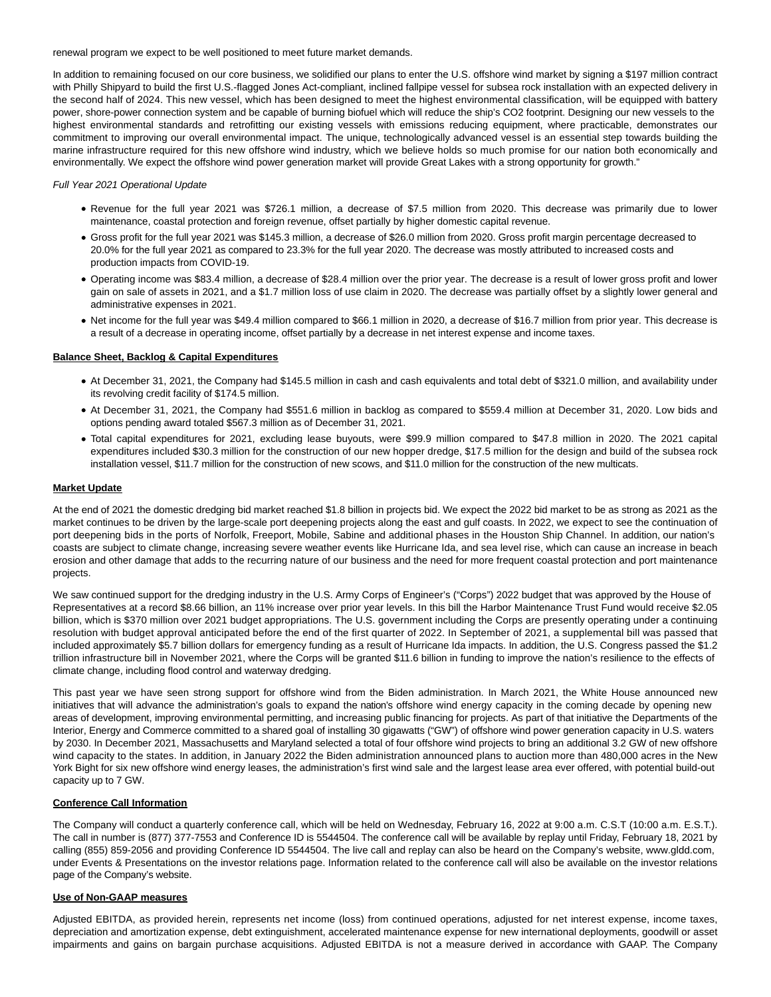renewal program we expect to be well positioned to meet future market demands.

In addition to remaining focused on our core business, we solidified our plans to enter the U.S. offshore wind market by signing a \$197 million contract with Philly Shipyard to build the first U.S.-flagged Jones Act-compliant, inclined fallpipe vessel for subsea rock installation with an expected delivery in the second half of 2024. This new vessel, which has been designed to meet the highest environmental classification, will be equipped with battery power, shore-power connection system and be capable of burning biofuel which will reduce the ship's CO2 footprint. Designing our new vessels to the highest environmental standards and retrofitting our existing vessels with emissions reducing equipment, where practicable, demonstrates our commitment to improving our overall environmental impact. The unique, technologically advanced vessel is an essential step towards building the marine infrastructure required for this new offshore wind industry, which we believe holds so much promise for our nation both economically and environmentally. We expect the offshore wind power generation market will provide Great Lakes with a strong opportunity for growth."

#### Full Year 2021 Operational Update

- Revenue for the full year 2021 was \$726.1 million, a decrease of \$7.5 million from 2020. This decrease was primarily due to lower maintenance, coastal protection and foreign revenue, offset partially by higher domestic capital revenue.
- Gross profit for the full year 2021 was \$145.3 million, a decrease of \$26.0 million from 2020. Gross profit margin percentage decreased to 20.0% for the full year 2021 as compared to 23.3% for the full year 2020. The decrease was mostly attributed to increased costs and production impacts from COVID-19.
- Operating income was \$83.4 million, a decrease of \$28.4 million over the prior year. The decrease is a result of lower gross profit and lower gain on sale of assets in 2021, and a \$1.7 million loss of use claim in 2020. The decrease was partially offset by a slightly lower general and administrative expenses in 2021.
- Net income for the full year was \$49.4 million compared to \$66.1 million in 2020, a decrease of \$16.7 million from prior year. This decrease is a result of a decrease in operating income, offset partially by a decrease in net interest expense and income taxes.

#### **Balance Sheet, Backlog & Capital Expenditures**

- At December 31, 2021, the Company had \$145.5 million in cash and cash equivalents and total debt of \$321.0 million, and availability under its revolving credit facility of \$174.5 million.
- At December 31, 2021, the Company had \$551.6 million in backlog as compared to \$559.4 million at December 31, 2020. Low bids and options pending award totaled \$567.3 million as of December 31, 2021.
- Total capital expenditures for 2021, excluding lease buyouts, were \$99.9 million compared to \$47.8 million in 2020. The 2021 capital expenditures included \$30.3 million for the construction of our new hopper dredge, \$17.5 million for the design and build of the subsea rock installation vessel, \$11.7 million for the construction of new scows, and \$11.0 million for the construction of the new multicats.

#### **Market Update**

At the end of 2021 the domestic dredging bid market reached \$1.8 billion in projects bid. We expect the 2022 bid market to be as strong as 2021 as the market continues to be driven by the large-scale port deepening projects along the east and gulf coasts. In 2022, we expect to see the continuation of port deepening bids in the ports of Norfolk, Freeport, Mobile, Sabine and additional phases in the Houston Ship Channel. In addition, our nation's coasts are subject to climate change, increasing severe weather events like Hurricane Ida, and sea level rise, which can cause an increase in beach erosion and other damage that adds to the recurring nature of our business and the need for more frequent coastal protection and port maintenance projects.

We saw continued support for the dredging industry in the U.S. Army Corps of Engineer's ("Corps") 2022 budget that was approved by the House of Representatives at a record \$8.66 billion, an 11% increase over prior year levels. In this bill the Harbor Maintenance Trust Fund would receive \$2.05 billion, which is \$370 million over 2021 budget appropriations. The U.S. government including the Corps are presently operating under a continuing resolution with budget approval anticipated before the end of the first quarter of 2022. In September of 2021, a supplemental bill was passed that included approximately \$5.7 billion dollars for emergency funding as a result of Hurricane Ida impacts. In addition, the U.S. Congress passed the \$1.2 trillion infrastructure bill in November 2021, where the Corps will be granted \$11.6 billion in funding to improve the nation's resilience to the effects of climate change, including flood control and waterway dredging.

This past year we have seen strong support for offshore wind from the Biden administration. In March 2021, the White House announced new initiatives that will advance the administration's goals to expand the nation's offshore wind energy capacity in the coming decade by opening new areas of development, improving environmental permitting, and increasing public financing for projects. As part of that initiative the Departments of the Interior, Energy and Commerce committed to a shared goal of installing 30 gigawatts ("GW") of offshore wind power generation capacity in U.S. waters by 2030. In December 2021, Massachusetts and Maryland selected a total of four offshore wind projects to bring an additional 3.2 GW of new offshore wind capacity to the states. In addition, in January 2022 the Biden administration announced plans to auction more than 480,000 acres in the New York Bight for six new offshore wind energy leases, the administration's first wind sale and the largest lease area ever offered, with potential build-out capacity up to 7 GW.

### **Conference Call Information**

The Company will conduct a quarterly conference call, which will be held on Wednesday, February 16, 2022 at 9:00 a.m. C.S.T (10:00 a.m. E.S.T.). The call in number is (877) 377-7553 and Conference ID is 5544504. The conference call will be available by replay until Friday, February 18, 2021 by calling (855) 859-2056 and providing Conference ID 5544504. The live call and replay can also be heard on the Company's website, www.gldd.com, under Events & Presentations on the investor relations page. Information related to the conference call will also be available on the investor relations page of the Company's website.

# **Use of Non-GAAP measures**

Adjusted EBITDA, as provided herein, represents net income (loss) from continued operations, adjusted for net interest expense, income taxes, depreciation and amortization expense, debt extinguishment, accelerated maintenance expense for new international deployments, goodwill or asset impairments and gains on bargain purchase acquisitions. Adjusted EBITDA is not a measure derived in accordance with GAAP. The Company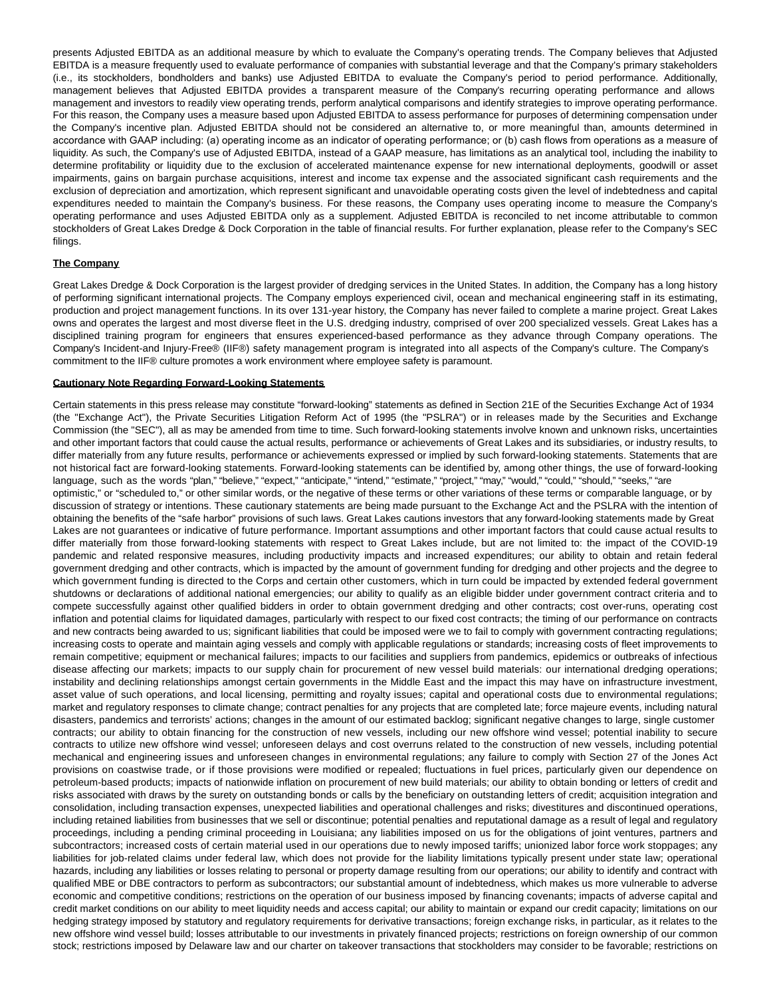presents Adjusted EBITDA as an additional measure by which to evaluate the Company's operating trends. The Company believes that Adjusted EBITDA is a measure frequently used to evaluate performance of companies with substantial leverage and that the Company's primary stakeholders (i.e., its stockholders, bondholders and banks) use Adjusted EBITDA to evaluate the Company's period to period performance. Additionally, management believes that Adjusted EBITDA provides a transparent measure of the Company's recurring operating performance and allows management and investors to readily view operating trends, perform analytical comparisons and identify strategies to improve operating performance. For this reason, the Company uses a measure based upon Adjusted EBITDA to assess performance for purposes of determining compensation under the Company's incentive plan. Adjusted EBITDA should not be considered an alternative to, or more meaningful than, amounts determined in accordance with GAAP including: (a) operating income as an indicator of operating performance; or (b) cash flows from operations as a measure of liquidity. As such, the Company's use of Adjusted EBITDA, instead of a GAAP measure, has limitations as an analytical tool, including the inability to determine profitability or liquidity due to the exclusion of accelerated maintenance expense for new international deployments, goodwill or asset impairments, gains on bargain purchase acquisitions, interest and income tax expense and the associated significant cash requirements and the exclusion of depreciation and amortization, which represent significant and unavoidable operating costs given the level of indebtedness and capital expenditures needed to maintain the Company's business. For these reasons, the Company uses operating income to measure the Company's operating performance and uses Adjusted EBITDA only as a supplement. Adjusted EBITDA is reconciled to net income attributable to common stockholders of Great Lakes Dredge & Dock Corporation in the table of financial results. For further explanation, please refer to the Company's SEC filings.

### **The Company**

Great Lakes Dredge & Dock Corporation is the largest provider of dredging services in the United States. In addition, the Company has a long history of performing significant international projects. The Company employs experienced civil, ocean and mechanical engineering staff in its estimating, production and project management functions. In its over 131-year history, the Company has never failed to complete a marine project. Great Lakes owns and operates the largest and most diverse fleet in the U.S. dredging industry, comprised of over 200 specialized vessels. Great Lakes has a disciplined training program for engineers that ensures experienced-based performance as they advance through Company operations. The Company's Incident-and Injury-Free® (IIF®) safety management program is integrated into all aspects of the Company's culture. The Company's commitment to the IIF® culture promotes a work environment where employee safety is paramount.

#### **Cautionary Note Regarding Forward-Looking Statements**

Certain statements in this press release may constitute "forward-looking" statements as defined in Section 21E of the Securities Exchange Act of 1934 (the "Exchange Act"), the Private Securities Litigation Reform Act of 1995 (the "PSLRA") or in releases made by the Securities and Exchange Commission (the "SEC"), all as may be amended from time to time. Such forward-looking statements involve known and unknown risks, uncertainties and other important factors that could cause the actual results, performance or achievements of Great Lakes and its subsidiaries, or industry results, to differ materially from any future results, performance or achievements expressed or implied by such forward-looking statements. Statements that are not historical fact are forward-looking statements. Forward-looking statements can be identified by, among other things, the use of forward-looking language, such as the words "plan," "believe," "expect," "anticipate," "intend," "estimate," "project," "may," "would," "could," "should," "seeks," "are optimistic," or "scheduled to," or other similar words, or the negative of these terms or other variations of these terms or comparable language, or by discussion of strategy or intentions. These cautionary statements are being made pursuant to the Exchange Act and the PSLRA with the intention of obtaining the benefits of the "safe harbor" provisions of such laws. Great Lakes cautions investors that any forward-looking statements made by Great Lakes are not guarantees or indicative of future performance. Important assumptions and other important factors that could cause actual results to differ materially from those forward-looking statements with respect to Great Lakes include, but are not limited to: the impact of the COVID-19 pandemic and related responsive measures, including productivity impacts and increased expenditures; our ability to obtain and retain federal government dredging and other contracts, which is impacted by the amount of government funding for dredging and other projects and the degree to which government funding is directed to the Corps and certain other customers, which in turn could be impacted by extended federal government shutdowns or declarations of additional national emergencies; our ability to qualify as an eligible bidder under government contract criteria and to compete successfully against other qualified bidders in order to obtain government dredging and other contracts; cost over-runs, operating cost inflation and potential claims for liquidated damages, particularly with respect to our fixed cost contracts; the timing of our performance on contracts and new contracts being awarded to us; significant liabilities that could be imposed were we to fail to comply with government contracting regulations; increasing costs to operate and maintain aging vessels and comply with applicable regulations or standards; increasing costs of fleet improvements to remain competitive; equipment or mechanical failures; impacts to our facilities and suppliers from pandemics, epidemics or outbreaks of infectious disease affecting our markets; impacts to our supply chain for procurement of new vessel build materials: our international dredging operations; instability and declining relationships amongst certain governments in the Middle East and the impact this may have on infrastructure investment, asset value of such operations, and local licensing, permitting and royalty issues; capital and operational costs due to environmental regulations; market and regulatory responses to climate change; contract penalties for any projects that are completed late; force majeure events, including natural disasters, pandemics and terrorists' actions; changes in the amount of our estimated backlog; significant negative changes to large, single customer contracts; our ability to obtain financing for the construction of new vessels, including our new offshore wind vessel; potential inability to secure contracts to utilize new offshore wind vessel; unforeseen delays and cost overruns related to the construction of new vessels, including potential mechanical and engineering issues and unforeseen changes in environmental regulations; any failure to comply with Section 27 of the Jones Act provisions on coastwise trade, or if those provisions were modified or repealed; fluctuations in fuel prices, particularly given our dependence on petroleum-based products; impacts of nationwide inflation on procurement of new build materials; our ability to obtain bonding or letters of credit and risks associated with draws by the surety on outstanding bonds or calls by the beneficiary on outstanding letters of credit; acquisition integration and consolidation, including transaction expenses, unexpected liabilities and operational challenges and risks; divestitures and discontinued operations, including retained liabilities from businesses that we sell or discontinue; potential penalties and reputational damage as a result of legal and regulatory proceedings, including a pending criminal proceeding in Louisiana; any liabilities imposed on us for the obligations of joint ventures, partners and subcontractors; increased costs of certain material used in our operations due to newly imposed tariffs; unionized labor force work stoppages; any liabilities for job-related claims under federal law, which does not provide for the liability limitations typically present under state law; operational hazards, including any liabilities or losses relating to personal or property damage resulting from our operations; our ability to identify and contract with qualified MBE or DBE contractors to perform as subcontractors; our substantial amount of indebtedness, which makes us more vulnerable to adverse economic and competitive conditions; restrictions on the operation of our business imposed by financing covenants; impacts of adverse capital and credit market conditions on our ability to meet liquidity needs and access capital; our ability to maintain or expand our credit capacity; limitations on our hedging strategy imposed by statutory and regulatory requirements for derivative transactions; foreign exchange risks, in particular, as it relates to the new offshore wind vessel build; losses attributable to our investments in privately financed projects; restrictions on foreign ownership of our common stock; restrictions imposed by Delaware law and our charter on takeover transactions that stockholders may consider to be favorable; restrictions on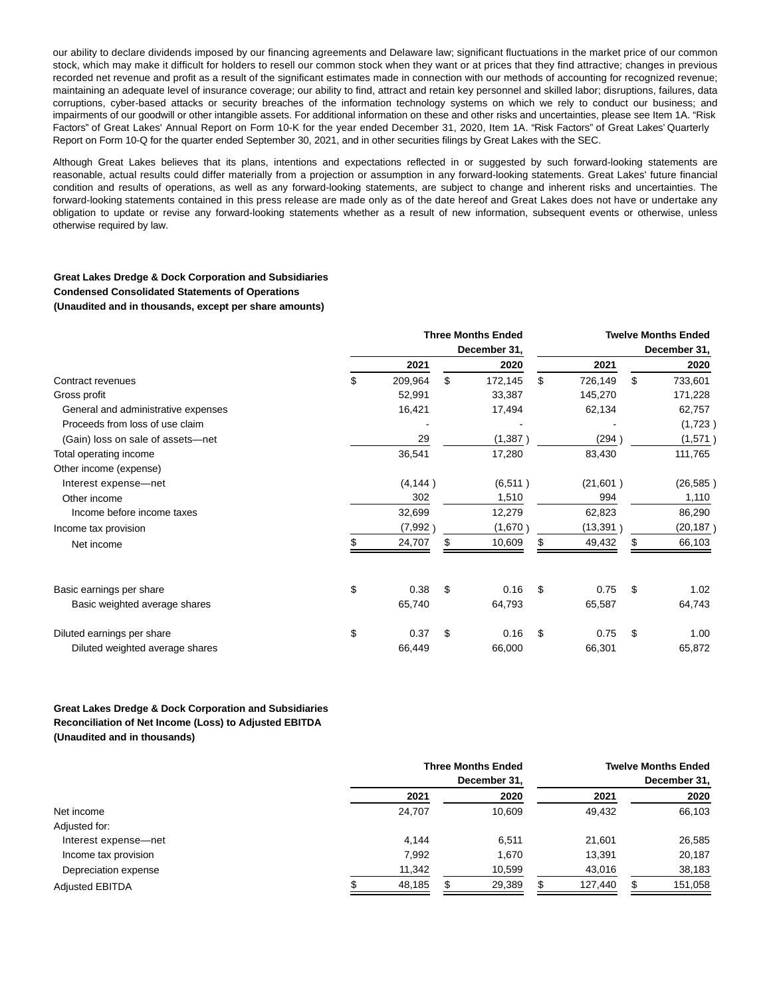our ability to declare dividends imposed by our financing agreements and Delaware law; significant fluctuations in the market price of our common stock, which may make it difficult for holders to resell our common stock when they want or at prices that they find attractive; changes in previous recorded net revenue and profit as a result of the significant estimates made in connection with our methods of accounting for recognized revenue; maintaining an adequate level of insurance coverage; our ability to find, attract and retain key personnel and skilled labor; disruptions, failures, data corruptions, cyber-based attacks or security breaches of the information technology systems on which we rely to conduct our business; and impairments of our goodwill or other intangible assets. For additional information on these and other risks and uncertainties, please see Item 1A. "Risk Factors" of Great Lakes' Annual Report on Form 10-K for the year ended December 31, 2020, Item 1A. "Risk Factors" of Great Lakes' Quarterly Report on Form 10-Q for the quarter ended September 30, 2021, and in other securities filings by Great Lakes with the SEC.

Although Great Lakes believes that its plans, intentions and expectations reflected in or suggested by such forward-looking statements are reasonable, actual results could differ materially from a projection or assumption in any forward-looking statements. Great Lakes' future financial condition and results of operations, as well as any forward-looking statements, are subject to change and inherent risks and uncertainties. The forward-looking statements contained in this press release are made only as of the date hereof and Great Lakes does not have or undertake any obligation to update or revise any forward-looking statements whether as a result of new information, subsequent events or otherwise, unless otherwise required by law.

## **Great Lakes Dredge & Dock Corporation and Subsidiaries Condensed Consolidated Statements of Operations (Unaudited and in thousands, except per share amounts)**

|                                     | <b>Three Months Ended</b><br>December 31, |          |    |          | <b>Twelve Months Ended</b><br>December 31, |          |    |           |
|-------------------------------------|-------------------------------------------|----------|----|----------|--------------------------------------------|----------|----|-----------|
|                                     |                                           |          |    |          |                                            |          |    |           |
|                                     |                                           | 2021     |    | 2020     |                                            | 2021     |    | 2020      |
| Contract revenues                   | \$                                        | 209,964  | \$ | 172,145  | \$                                         | 726,149  | \$ | 733,601   |
| Gross profit                        |                                           | 52,991   |    | 33,387   |                                            | 145,270  |    | 171,228   |
| General and administrative expenses |                                           | 16,421   |    | 17,494   |                                            | 62,134   |    | 62,757    |
| Proceeds from loss of use claim     |                                           |          |    |          |                                            |          |    | (1,723)   |
| (Gain) loss on sale of assets-net   |                                           | 29       |    | (1,387)  |                                            | (294)    |    | (1,571)   |
| Total operating income              |                                           | 36,541   |    | 17,280   |                                            | 83,430   |    | 111,765   |
| Other income (expense)              |                                           |          |    |          |                                            |          |    |           |
| Interest expense-net                |                                           | (4, 144) |    | (6, 511) |                                            | (21,601) |    | (26, 585) |
| Other income                        |                                           | 302      |    | 1,510    |                                            | 994      |    | 1,110     |
| Income before income taxes          |                                           | 32,699   |    | 12,279   |                                            | 62,823   |    | 86,290    |
| Income tax provision                |                                           | (7,992)  |    | (1,670)  |                                            | (13,391  |    | (20, 187) |
| Net income                          |                                           | 24,707   | \$ | 10,609   | S                                          | 49,432   | \$ | 66,103    |
| Basic earnings per share            | \$                                        | 0.38     | \$ | 0.16     | \$                                         | 0.75     | \$ | 1.02      |
| Basic weighted average shares       |                                           | 65,740   |    | 64,793   |                                            | 65,587   |    | 64,743    |
| Diluted earnings per share          | \$                                        | 0.37     | \$ | 0.16     | \$                                         | 0.75     | \$ | 1.00      |
| Diluted weighted average shares     |                                           | 66,449   |    | 66,000   |                                            | 66,301   |    | 65,872    |

# **Great Lakes Dredge & Dock Corporation and Subsidiaries Reconciliation of Net Income (Loss) to Adjusted EBITDA (Unaudited and in thousands)**

|                        | <b>Three Months Ended</b> |  |        |  | <b>Twelve Months Ended</b><br>December 31, |  |         |
|------------------------|---------------------------|--|--------|--|--------------------------------------------|--|---------|
|                        | December 31,              |  |        |  |                                            |  |         |
|                        | 2021                      |  | 2020   |  | 2021                                       |  | 2020    |
| Net income             | 24,707                    |  | 10.609 |  | 49.432                                     |  | 66,103  |
| Adjusted for:          |                           |  |        |  |                                            |  |         |
| Interest expense-net   | 4.144                     |  | 6.511  |  | 21,601                                     |  | 26,585  |
| Income tax provision   | 7.992                     |  | 1.670  |  | 13,391                                     |  | 20,187  |
| Depreciation expense   | 11,342                    |  | 10,599 |  | 43,016                                     |  | 38,183  |
| <b>Adjusted EBITDA</b> | 48,185                    |  | 29,389 |  | 127,440                                    |  | 151,058 |